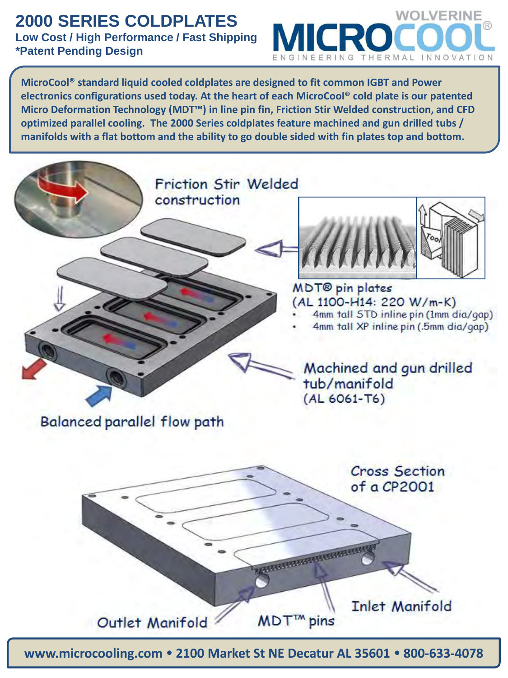## **2000 SERIES COLDPLATES Low Cost / High Performance / Fast Shipping**

## **\*Patent Pending Design**



**MicroCool® standard liquid cooled coldplates are designed to fit common IGBT and Power electronics configurations used today. At the heart of each MicroCool® cold plate is our patented Micro Deformation Technology (MDT™) in line pin fin, Friction Stir Welded construction, and CFD optimized parallel cooling. The 2000 Series coldplates feature machined and gun drilled tubs / manifolds with a flat bottom and the ability to go double sided with fin plates top and bottom.**